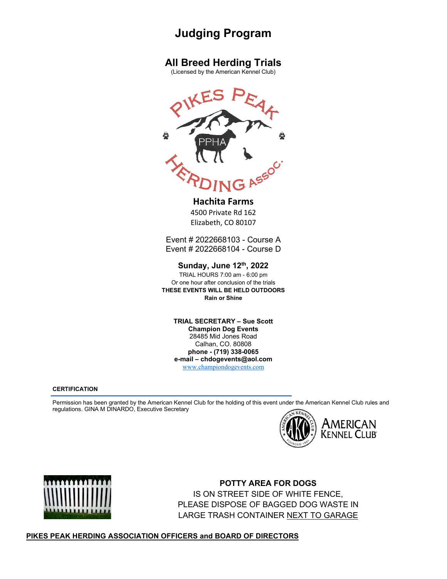# **Judging Program**

# **All Breed Herding Trials**

(Licensed by the American Kennel Club)



## **Hachita Farms**

4500 Private Rd 162 Elizabeth, CO 80107

Event # 2022668103 - Course A Event # 2022668104 - Course D

**Sunday, June 12th, 2022**

TRIAL HOURS 7:00 am - 6:00 pm Or one hour after conclusion of the trials **THESE EVENTS WILL BE HELD OUTDOORS Rain or Shine**

**TRIAL SECRETARY – Sue Scott Champion Dog Events** 28485 Mid Jones Road Calhan, CO. 80808 **phone - (719) 338-0065 e-mail – chdogevents@aol.com** [www.championdogevents.com](http://www.championdogevents.com/)

#### **CERTIFICATION**

Permission has been granted by the American Kennel Club for the holding of this event under the American Kennel Club rules and regulations. GINA M DINARDO, Executive Secretary





**POTTY AREA FOR DOGS**  IS ON STREET SIDE OF WHITE FENCE, PLEASE DISPOSE OF BAGGED DOG WASTE IN LARGE TRASH CONTAINER NEXT TO GARAGE

## **PIKES PEAK HERDING ASSOCIATION OFFICERS and BOARD OF DIRECTORS**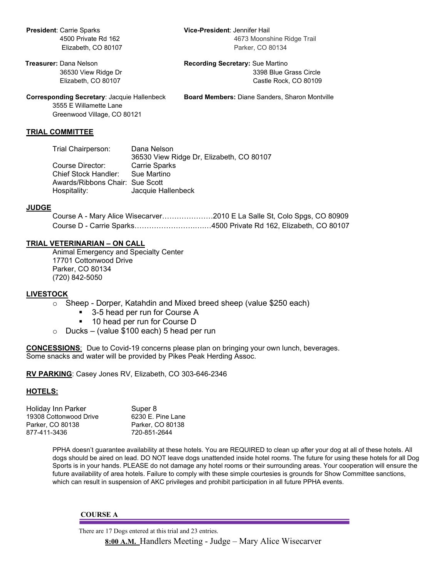**President**: Carrie Sparks **Vice-President**: Jennifer Hail

**Treasurer:** Dana Nelson **Recording Secretary:** Sue Martino 36530 View Ridge Dr 3398 Blue Grass Circle Elizabeth, CO 80107 Castle Rock, CO 80109

**Corresponding Secretary**: Jacquie Hallenbeck **Board Members:** Diane Sanders, Sharon Montville

3555 E Willamette Lane Greenwood Village, CO 80121

#### **TRIAL COMMITTEE**

| Trial Chairperson:              | Dana Nelson                              |
|---------------------------------|------------------------------------------|
|                                 | 36530 View Ridge Dr, Elizabeth, CO 80107 |
| Course Director:                | <b>Carrie Sparks</b>                     |
| Chief Stock Handler:            | Sue Martino                              |
| Awards/Ribbons Chair: Sue Scott |                                          |
| Hospitality:                    | Jacquie Hallenbeck                       |
|                                 |                                          |

### **JUDGE**

Course A - Mary Alice Wisecarver…………………2010 E La Salle St, Colo Spgs, CO 80909 Course D - Carrie Sparks…………………….….…4500 Private Rd 162, Elizabeth, CO 80107

## **TRIAL VETERINARIAN – ON CALL**

Animal Emergency and Specialty Center 17701 Cottonwood Drive Parker, CO 80134 (720) 842-5050

## **LIVESTOCK**

- $\circ$  Sheep Dorper, Katahdin and Mixed breed sheep (value \$250 each)
	- 3-5 head per run for Course A
	- **10 head per run for Course D**
- $\circ$  Ducks (value \$100 each) 5 head per run

**CONCESSIONS**: Due to Covid-19 concerns please plan on bringing your own lunch, beverages. Some snacks and water will be provided by Pikes Peak Herding Assoc.

**RV PARKING**: Casey Jones RV, Elizabeth, CO 303-646-2346

#### **HOTELS:**

| Holiday Inn Parker     | Super 8           |
|------------------------|-------------------|
| 19308 Cottonwood Drive | 6230 E. Pine Lane |
| Parker, CO 80138       | Parker, CO 80138  |
| 877-411-3436           | 720-851-2644      |

PPHA doesn't guarantee availability at these hotels. You are REQUIRED to clean up after your dog at all of these hotels. All dogs should be aired on lead. DO NOT leave dogs unattended inside hotel rooms. The future for using these hotels for all Dog Sports is in your hands. PLEASE do not damage any hotel rooms or their surrounding areas. Your cooperation will ensure the future availability of area hotels. Failure to comply with these simple courtesies is grounds for Show Committee sanctions, which can result in suspension of AKC privileges and prohibit participation in all future PPHA events.

#### **COURSE A**

There are 17 Dogs entered at this trial and 23 entries. **8:00 A.M.** Handlers Meeting - Judge – Mary Alice Wisecarver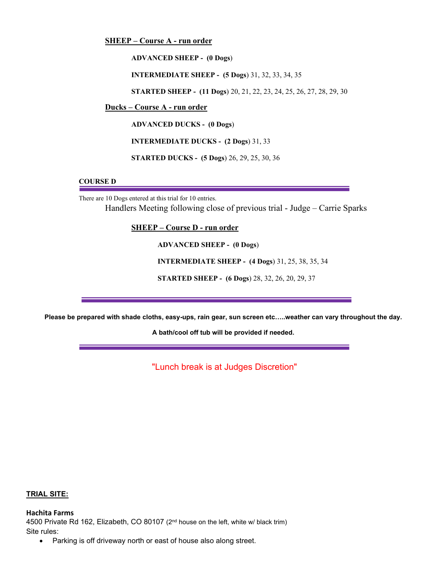**SHEEP – Course A - run order**

**ADVANCED SHEEP - (0 Dogs**)

**INTERMEDIATE SHEEP - (5 Dogs**) 31, 32, 33, 34, 35

**STARTED SHEEP - (11 Dogs**) 20, 21, 22, 23, 24, 25, 26, 27, 28, 29, 30

**Ducks – Course A - run order**

**ADVANCED DUCKS - (0 Dogs**)

**INTERMEDIATE DUCKS - (2 Dogs**) 31, 33

**STARTED DUCKS - (5 Dogs**) 26, 29, 25, 30, 36

## **COURSE D**

There are 10 Dogs entered at this trial for 10 entries.

Handlers Meeting following close of previous trial - Judge – Carrie Sparks

**SHEEP – Course D - run order**

**ADVANCED SHEEP - (0 Dogs**)

**INTERMEDIATE SHEEP - (4 Dogs**) 31, 25, 38, 35, 34

**STARTED SHEEP - (6 Dogs**) 28, 32, 26, 20, 29, 37

**Please be prepared with shade cloths, easy-ups, rain gear, sun screen etc…..weather can vary throughout the day.**

**A bath/cool off tub will be provided if needed.** 

"Lunch break is at Judges Discretion"

### **TRIAL SITE:**

**Hachita Farms** 4500 Private Rd 162, Elizabeth, CO 80107 (2nd house on the left, white w/ black trim) Site rules:

• Parking is off driveway north or east of house also along street.